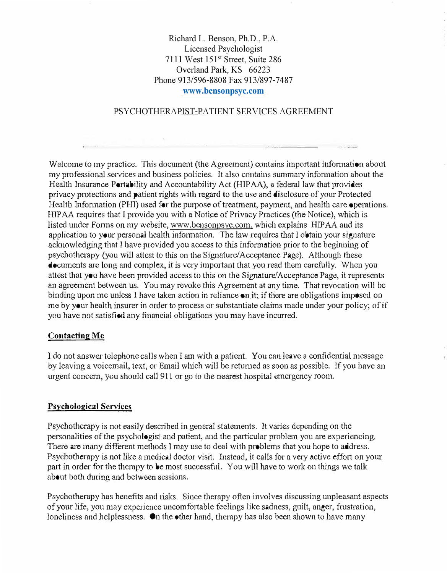# Richard L. Benson, Ph.D., P.A. Licensed Psychologist 7111 West 151st Street, Suite 286 Overland Park, KS 66223 Phone 913/596-8808 Fax 913/897-7487 **<www.bensonpsyc.com>**

### PSYCHOTHERAPIST-PATIENT SERVICES AGREEMENT

Welcome to my practice. This document (the Agreement) contains important information about my professional services and business policies. It also contains summary infonnation about the Health Insurance Portability and Accountability Act (HIPAA), a federal law that provides privacy protections and patient rights with regard to the use and disclosure of your Protected Health Information (PHI) used for the purpose of treatment, payment, and health care operations. HIP AA requires that I provide you with a Notice of Privacy Practices (the Notice), which is listed under Forms on my website, www.bensonpsyc.com, which explains HIPAA and its application to your personal health information. The law requires that I obtain your signature acknowledging that I have provided you access to this information prior to the beginning of psychotherapy (you will attest to this on the Signature/Acceptance Page). Although these  $\triangle$  cuments are long and complex, it is very important that you read them carefully. When you attest that you have been provided access to this on the Signature/Acceptance Page, it represents an agreement between us. You may revoke this Agreement at any time. That revocation will be binding upon me unless I have taken action in reliance on it; if there are obligations imposed on me by your health insurer in order to process or substantiate claims made under your policy; of if you have not satisfied any financial obligations you may have incurred.

#### **Contacting Mc**

I do not answer telephone calls when I am with a patient. You can leave a confidential message by leaving a voicemail, text, or Email which will be returned as soon as possible. If you have an urgent concem, you should call 911 or go to the nearest hospital emergency room.

### **Psychological Services**

Psychotherapy is not easily described in general statements. It varies depending on the personalities of the psychologist and patient, and the particular problem you are experiencing. There are many different methods I may use to deal with problems that you hope to address. Psychotherapy is not like a medical doctor visit. Instead, it calls for a very active effort on your part in order for the therapy to be most successful. You will have to work on things we talk about both during and between sessions.

Psychotherapy has benefits and risks. Since therapy often involves discussing unpleasant aspects of your life, you may experience uncomfortable feelings like sadness, guilt, anger, frustration, loneliness and helplessness.  $\bullet$ n the  $\bullet$ ther hand, therapy has also been shown to have many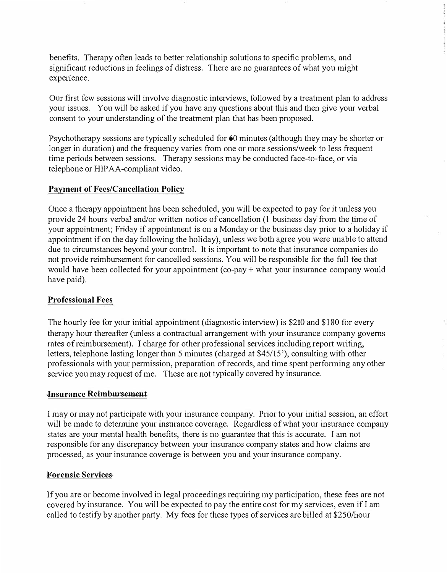benefits. Therapy often leads to better relationship solutions to specific problems, and significant reductions in feelings of distress. There are no guarantees of what you might experience.

Our first few sessions will involve diagnostic interviews, followed by a treatment plan to address your issues. You will be asked if you have any questions about this and then give your verbal consent to your understanding of the treatment plan that has been proposed.

Psychotherapy sessions are typically scheduled for  $60$  minutes (although they may be shorter or longer in duration) and the frequency varies from one or more sessions/week to less frequent time periods between sessions. Therapy sessions may be conducted face-to-face, or via telephone or HIPAA-compliant video.

### **Payment of Fees/Cancellation Policy**

Once a therapy appointment has been scheduled, you will be expected to pay for it unless you provide 24 hours verbal and/or written notice of cancellation (I business day from the time of your appointment; Friday if appointment is on a Monday or the business day prior to a holiday if appointment if on the day following the holiday), unless we both agree you were unable to attend due to circumstances beyond your control. It is important to note that insurance companies do not provide reimbursement for cancelled sessions. You will be responsible for the full fee that would have been collected for your appointment (co-pay + what your insurance company would have paid).

# **Professional Fees**

The hourly fee for your initial appointment (diagnostic interview) is \$210 and \$180 for every therapy hour thereafter (unless a contractual arrangement with your insurance company governs rates of reimbursement). I charge for other professional services including report writing, letters, telephone lasting longer than 5 minutes (charged at \$45/15'), consulting with other professionals with your permission, preparation of records, and time spent perfonning any other service you may request of me. These are not typically covered by insurance.

### **Insurance Reimbursement**

I may or may not participate with your insurance company. Prior to your initial session, an effort will be made to determine your insurance coverage. Regardless of what your insurance company states are your mental health benefits, there is no guarantee that this is accurate. I am not responsible for any discrepancy between your insurance company states and how claims are processed, as your insurance coverage is between you and your insurance company.

### **Forensic Services**

If you are or become involved in legal proceedings requiring my participation, these fees are not covered by insurance. You will be expected to pay the entire cost for my services, even if I am called to testify by another party. My fees for these types of services are billed at \$250/hour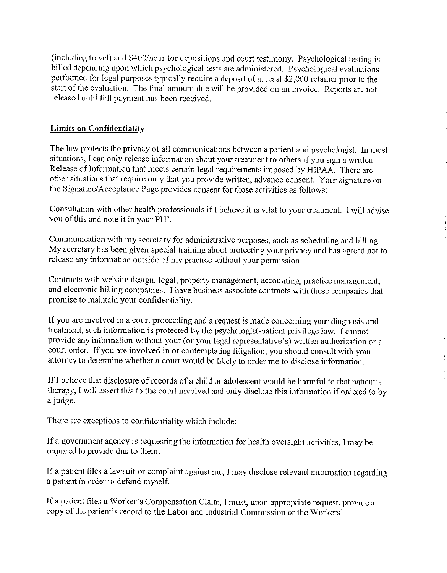(including travel) and \$400/hour for depositions and court testimony. Psychological testing is billed depending upon which psychological tests are administered. Psychological evaluations performed for legal purposes typically require a deposit of at least \$2,000 retainer prior to the start of the evaluation. The final amount due will be provided on an invoice. Reports are not released until full payment has been received.

#### **Limits on Confidentiality**

The law protects the privacy of all communications between a patient and psychologist. In most situations, I can only release information about your treatment to others if you sign a written Release of Information that meets certain legal requirements imposed by HIPAA. There are other situations that require only that you provide written, advance consent. Your signature on the Signature/Acceptance Page provides consent for those activities as follows:

Consultation with other health professionals if I believe it is vital to your treatment. I will advise you of this and note it in your PHI.

Communication with my secretary for administrative purposes, such as scheduling and billing. My secretary has been given special training about protecting your privacy and has agreed not to release any information outside of my practice without your permission.

Contracts with website design, legal, property management, accounting, practice management, and electronic billing companies. I have business associate contracts with these companies that promise to maintain your confidentiality.

If you are involved in a court proceeding and a request is made concerning your diagnosis and treatment, such information is protected by the psychologist-patient privilege law. I cannot provide any information without your (or your legal representative's) written authorization or a court order. If you are involved in or contemplating litigation, you should consult with your attorney to determine whether a court would be likely to order me to disclose information.

If I believe that disclosure of records of a child or adolescent would be harmful to that patient's therapy, I will assert this to the court involved and only disclose this information if ordered to by a judge.

There are exceptions to confidentiality which include:

If a government agency is requesting the information for health oversight activities, I may be required to provide this to them.

If a patient files a lawsuit or complaint against me, I may disclose relevant information regarding a patient in order to defend myself.

If a patient files a Worker's Compensation Claim, I must, upon appropriate request, provide a copy of the patient's record to the Labor and Industrial Commission or the Workers'